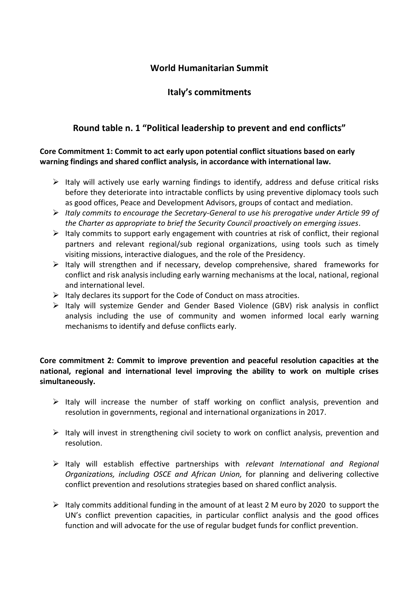### **World Humanitarian Summit**

## **Italy's commitments**

## **Round table n. 1 "Political leadership to prevent and end conflicts"**

### **Core Commitment 1: Commit to act early upon potential conflict situations based on early warning findings and shared conflict analysis, in accordance with international law.**

- $\triangleright$  Italy will actively use early warning findings to identify, address and defuse critical risks before they deteriorate into intractable conflicts by using preventive diplomacy tools such as good offices, Peace and Development Advisors, groups of contact and mediation.
- *Italy commits to encourage the Secretary-General to use his prerogative under Article 99 of the Charter as appropriate to brief the Security Council proactively on emerging issues*.
- $\triangleright$  Italy commits to support early engagement with countries at risk of conflict, their regional partners and relevant regional/sub regional organizations, using tools such as timely visiting missions, interactive dialogues, and the role of the Presidency.
- $\triangleright$  Italy will strengthen and if necessary, develop comprehensive, shared frameworks for conflict and risk analysis including early warning mechanisms at the local, national, regional and international level.
- $\triangleright$  Italy declares its support for the Code of Conduct on mass atrocities.
- $\triangleright$  Italy will systemize Gender and Gender Based Violence (GBV) risk analysis in conflict analysis including the use of community and women informed local early warning mechanisms to identify and defuse conflicts early.

### **Core commitment 2: Commit to improve prevention and peaceful resolution capacities at the national, regional and international level improving the ability to work on multiple crises simultaneously.**

- $\triangleright$  Italy will increase the number of staff working on conflict analysis, prevention and resolution in governments, regional and international organizations in 2017.
- $\triangleright$  Italy will invest in strengthening civil society to work on conflict analysis, prevention and resolution.
- Italy will establish effective partnerships with *relevant International and Regional Organizations, including OSCE and African Union,* for planning and delivering collective conflict prevention and resolutions strategies based on shared conflict analysis.
- $\triangleright$  Italy commits additional funding in the amount of at least 2 M euro by 2020 to support the UN's conflict prevention capacities, in particular conflict analysis and the good offices function and will advocate for the use of regular budget funds for conflict prevention.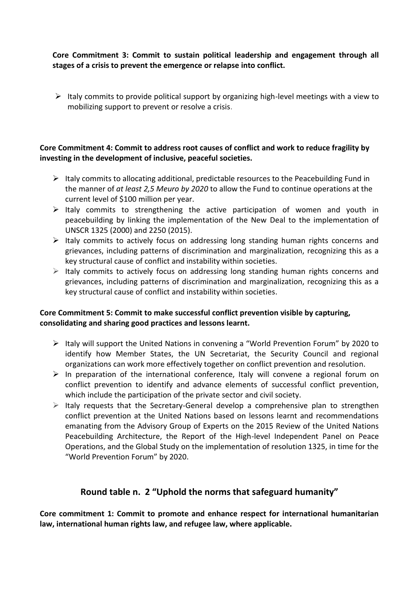**Core Commitment 3: Commit to sustain political leadership and engagement through all stages of a crisis to prevent the emergence or relapse into conflict.**

 $\triangleright$  Italy commits to provide political support by organizing high-level meetings with a view to mobilizing support to prevent or resolve a crisis.

#### **Core Commitment 4: Commit to address root causes of conflict and work to reduce fragility by investing in the development of inclusive, peaceful societies.**

- $\triangleright$  Italy commits to allocating additional, predictable resources to the Peacebuilding Fund in the manner of *at least 2,5 Meuro by 2020* to allow the Fund to continue operations at the current level of \$100 million per year.
- $\triangleright$  Italy commits to strengthening the active participation of women and youth in peacebuilding by linking the implementation of the New Deal to the implementation of UNSCR 1325 (2000) and 2250 (2015).
- $\triangleright$  Italy commits to actively focus on addressing long standing human rights concerns and grievances, including patterns of discrimination and marginalization, recognizing this as a key structural cause of conflict and instability within societies.
- $\triangleright$  Italy commits to actively focus on addressing long standing human rights concerns and grievances, including patterns of discrimination and marginalization, recognizing this as a key structural cause of conflict and instability within societies.

### **Core Commitment 5: Commit to make successful conflict prevention visible by capturing, consolidating and sharing good practices and lessons learnt.**

- Italy will support the United Nations in convening a "World Prevention Forum" by 2020 to identify how Member States, the UN Secretariat, the Security Council and regional organizations can work more effectively together on conflict prevention and resolution.
- $\triangleright$  In preparation of the international conference, Italy will convene a regional forum on conflict prevention to identify and advance elements of successful conflict prevention, which include the participation of the private sector and civil society.
- $\triangleright$  Italy requests that the Secretary-General develop a comprehensive plan to strengthen conflict prevention at the United Nations based on lessons learnt and recommendations emanating from the Advisory Group of Experts on the 2015 Review of the United Nations Peacebuilding Architecture, the Report of the High-level Independent Panel on Peace Operations, and the Global Study on the implementation of resolution 1325, in time for the "World Prevention Forum" by 2020.

# **Round table n. 2 "Uphold the norms that safeguard humanity"**

**Core commitment 1: Commit to promote and enhance respect for international humanitarian law, international human rights law, and refugee law, where applicable.**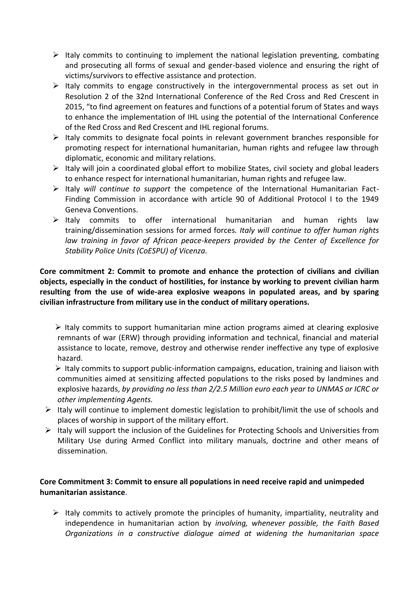- $\triangleright$  Italy commits to continuing to implement the national legislation preventing, combating and prosecuting all forms of sexual and gender-based violence and ensuring the right of victims/survivors to effective assistance and protection.
- $\triangleright$  Italy commits to engage constructively in the intergovernmental process as set out in Resolution 2 of the 32nd International Conference of the Red Cross and Red Crescent in 2015, "to find agreement on features and functions of a potential forum of States and ways to enhance the implementation of IHL using the potential of the International Conference of the Red Cross and Red Crescent and IHL regional forums.
- $\triangleright$  Italy commits to designate focal points in relevant government branches responsible for promoting respect for international humanitarian, human rights and refugee law through diplomatic, economic and military relations.
- $\triangleright$  Italy will join a coordinated global effort to mobilize States, civil society and global leaders to enhance respect for international humanitarian, human rights and refugee law.
- Italy *will continue to support* the competence of the International Humanitarian Fact-Finding Commission in accordance with article 90 of Additional Protocol I to the 1949 Geneva Conventions.
- $\triangleright$  Italy commits to offer international humanitarian and human rights law training/dissemination sessions for armed forces*. Italy will continue to offer human rights*  law training in favor of African peace-keepers provided by the Center of Excellence for *Stability Police Units (CoESPU) of Vicenza.*

**Core commitment 2: Commit to promote and enhance the protection of civilians and civilian objects, especially in the conduct of hostilities, for instance by working to prevent civilian harm resulting from the use of wide-area explosive weapons in populated areas, and by sparing civilian infrastructure from military use in the conduct of military operations.**

 $\triangleright$  Italy commits to support humanitarian mine action programs aimed at clearing explosive remnants of war (ERW) through providing information and technical, financial and material assistance to locate, remove, destroy and otherwise render ineffective any type of explosive hazard.

 $\triangleright$  Italy commits to support public-information campaigns, education, training and liaison with communities aimed at sensitizing affected populations to the risks posed by landmines and explosive hazards, *by providing no less than 2/2.5 Million euro each year to UNMAS or ICRC or other implementing Agents.*

- $\triangleright$  Italy will continue to implement domestic legislation to prohibit/limit the use of schools and places of worship in support of the military effort.
- $\triangleright$  Italy will support the inclusion of the Guidelines for Protecting Schools and Universities from Military Use during Armed Conflict into military manuals, doctrine and other means of dissemination*.*

### **Core Commitment 3: Commit to ensure all populations in need receive rapid and unimpeded humanitarian assistance.**

 $\triangleright$  Italy commits to actively promote the principles of humanity, impartiality, neutrality and independence in humanitarian action by *involving, whenever possible, the Faith Based Organizations in a constructive dialogue aimed at widening the humanitarian space*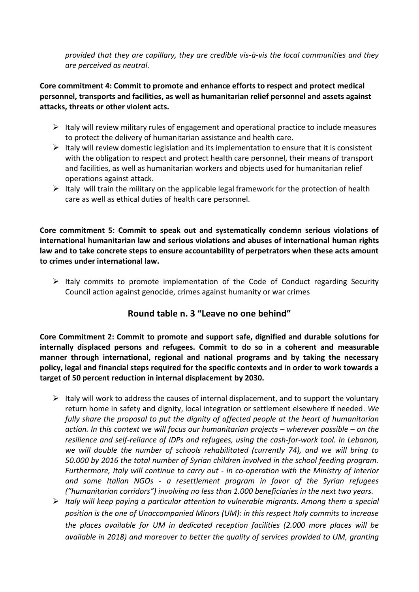*provided that they are capillary, they are credible vis-à-vis the local communities and they are perceived as neutral.*

**Core commitment 4: Commit to promote and enhance efforts to respect and protect medical personnel, transports and facilities, as well as humanitarian relief personnel and assets against attacks, threats or other violent acts.** 

- $\triangleright$  Italy will review military rules of engagement and operational practice to include measures to protect the delivery of humanitarian assistance and health care.
- $\triangleright$  Italy will review domestic legislation and its implementation to ensure that it is consistent with the obligation to respect and protect health care personnel, their means of transport and facilities, as well as humanitarian workers and objects used for humanitarian relief operations against attack.
- $\triangleright$  Italy will train the military on the applicable legal framework for the protection of health care as well as ethical duties of health care personnel.

**Core commitment 5: Commit to speak out and systematically condemn serious violations of international humanitarian law and serious violations and abuses of international human rights law and to take concrete steps to ensure accountability of perpetrators when these acts amount to crimes under international law.**

 $\triangleright$  Italy commits to promote implementation of the Code of Conduct regarding Security Council action against genocide, crimes against humanity or war crimes

## **Round table n. 3 "Leave no one behind"**

**Core Commitment 2: Commit to promote and support safe, dignified and durable solutions for internally displaced persons and refugees. Commit to do so in a coherent and measurable manner through international, regional and national programs and by taking the necessary policy, legal and financial steps required for the specific contexts and in order to work towards a target of 50 percent reduction in internal displacement by 2030.**

- $\triangleright$  Italy will work to address the causes of internal displacement, and to support the voluntary return home in safety and dignity, local integration or settlement elsewhere if needed. *We fully share the proposal to put the dignity of affected people at the heart of humanitarian action. In this context we will focus our humanitarian projects – wherever possible – on the resilience and self-reliance of IDPs and refugees, using the cash-for-work tool. In Lebanon, we will double the number of schools rehabilitated (currently 74), and we will bring to 50.000 by 2016 the total number of Syrian children involved in the school feeding program. Furthermore, Italy will continue to carry out - in co-operation with the Ministry of Interior and some Italian NGOs - a resettlement program in favor of the Syrian refugees ("humanitarian corridors") involving no less than 1.000 beneficiaries in the next two years.*
- *Italy will keep paying a particular attention to vulnerable migrants. Among them a special position is the one of Unaccompanied Minors (UM): in this respect Italy commits to increase the places available for UM in dedicated reception facilities (2.000 more places will be available in 2018) and moreover to better the quality of services provided to UM, granting*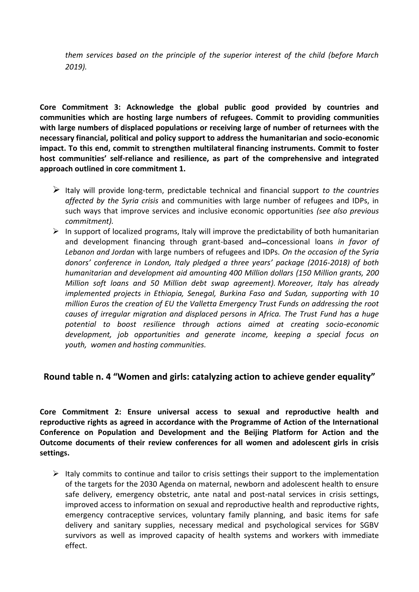*them services based on the principle of the superior interest of the child (before March 2019).*

**Core Commitment 3: Acknowledge the global public good provided by countries and communities which are hosting large numbers of refugees. Commit to providing communities with large numbers of displaced populations or receiving large of number of returnees with the necessary financial, political and policy support to address the humanitarian and socio-economic impact. To this end, commit to strengthen multilateral financing instruments. Commit to foster host communities' self-reliance and resilience, as part of the comprehensive and integrated approach outlined in core commitment 1.**

- Italy will provide long-term, predictable technical and financial support *to the countries affected by the Syria crisis* and communities with large number of refugees and IDPs, in such ways that improve services and inclusive economic opportunities *(see also previous commitment).*
- $\triangleright$  In support of localized programs, Italy will improve the predictability of both humanitarian and development financing through grant-based and-concessional loans *in favor of Lebanon and Jordan* with large numbers of refugees and IDPs. *On the occasion of the Syria donors' conference in London, Italy pledged a three years' package (2016-2018) of both humanitarian and development aid amounting 400 Million dollars (150 Million grants, 200 Million soft loans and 50 Million debt swap agreement). Moreover, Italy has already implemented projects in Ethiopia, Senegal, Burkina Faso and Sudan, supporting with 10 million Euros the creation of EU the Valletta Emergency Trust Funds on addressing the root causes of irregular migration and displaced persons in Africa. The Trust Fund has a huge potential to boost resilience through actions aimed at creating socio-economic development, job opportunities and generate income, keeping a special focus on youth, women and hosting communities.*

### **Round table n. 4 "Women and girls: catalyzing action to achieve gender equality"**

**Core Commitment 2: Ensure universal access to sexual and reproductive health and reproductive rights as agreed in accordance with the Programme of Action of the International Conference on Population and Development and the Beijing Platform for Action and the Outcome documents of their review conferences for all women and adolescent girls in crisis settings.**

 $\triangleright$  Italy commits to continue and tailor to crisis settings their support to the implementation of the targets for the 2030 Agenda on maternal, newborn and adolescent health to ensure safe delivery, emergency obstetric, ante natal and post-natal services in crisis settings, improved access to information on sexual and reproductive health and reproductive rights, emergency contraceptive services, voluntary family planning, and basic items for safe delivery and sanitary supplies, necessary medical and psychological services for SGBV survivors as well as improved capacity of health systems and workers with immediate effect.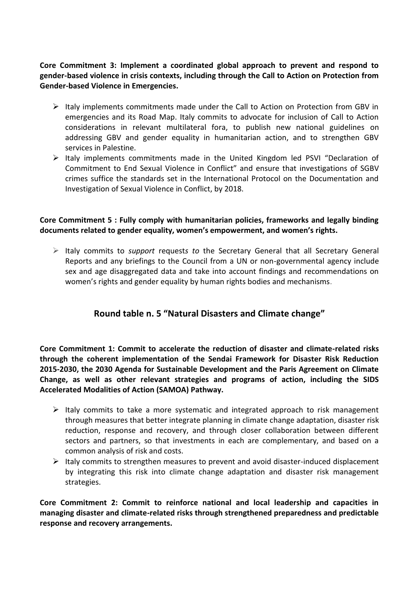**Core Commitment 3: Implement a coordinated global approach to prevent and respond to gender-based violence in crisis contexts, including through the Call to Action on Protection from Gender-based Violence in Emergencies.**

- $\triangleright$  Italy implements commitments made under the Call to Action on Protection from GBV in emergencies and its Road Map. Italy commits to advocate for inclusion of Call to Action considerations in relevant multilateral fora, to publish new national guidelines on addressing GBV and gender equality in humanitarian action, and to strengthen GBV services in Palestine.
- $\triangleright$  Italy implements commitments made in the United Kingdom led PSVI "Declaration of Commitment to End Sexual Violence in Conflict" and ensure that investigations of SGBV crimes suffice the standards set in the International Protocol on the Documentation and Investigation of Sexual Violence in Conflict, by 2018.

#### **Core Commitment 5 : Fully comply with humanitarian policies, frameworks and legally binding documents related to gender equality, women's empowerment, and women's rights.**

 Italy commits to *support* request*s to* the Secretary General that all Secretary General Reports and any briefings to the Council from a UN or non-governmental agency include sex and age disaggregated data and take into account findings and recommendations on women's rights and gender equality by human rights bodies and mechanisms.

## **Round table n. 5 "Natural Disasters and Climate change"**

**Core Commitment 1: Commit to accelerate the reduction of disaster and climate-related risks through the coherent implementation of the Sendai Framework for Disaster Risk Reduction 2015-2030, the 2030 Agenda for Sustainable Development and the Paris Agreement on Climate Change, as well as other relevant strategies and programs of action, including the SIDS Accelerated Modalities of Action (SAMOA) Pathway.**

- $\triangleright$  Italy commits to take a more systematic and integrated approach to risk management through measures that better integrate planning in climate change adaptation, disaster risk reduction, response and recovery, and through closer collaboration between different sectors and partners, so that investments in each are complementary, and based on a common analysis of risk and costs.
- $\triangleright$  Italy commits to strengthen measures to prevent and avoid disaster-induced displacement by integrating this risk into climate change adaptation and disaster risk management strategies.

**Core Commitment 2: Commit to reinforce national and local leadership and capacities in managing disaster and climate-related risks through strengthened preparedness and predictable response and recovery arrangements.**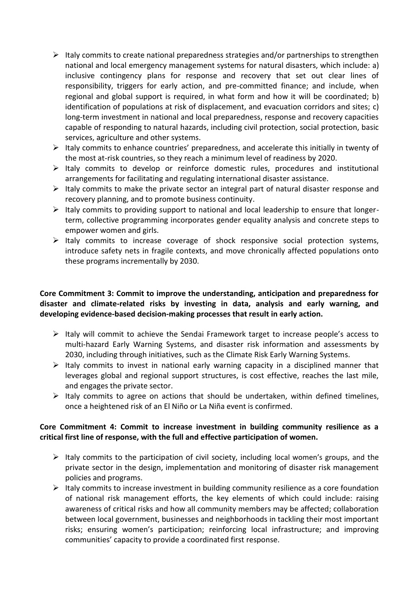- $\triangleright$  Italy commits to create national preparedness strategies and/or partnerships to strengthen national and local emergency management systems for natural disasters, which include: a) inclusive contingency plans for response and recovery that set out clear lines of responsibility, triggers for early action, and pre-committed finance; and include, when regional and global support is required, in what form and how it will be coordinated; b) identification of populations at risk of displacement, and evacuation corridors and sites; c) long-term investment in national and local preparedness, response and recovery capacities capable of responding to natural hazards, including civil protection, social protection, basic services, agriculture and other systems.
- $\triangleright$  Italy commits to enhance countries' preparedness, and accelerate this initially in twenty of the most at-risk countries, so they reach a minimum level of readiness by 2020.
- $\triangleright$  Italy commits to develop or reinforce domestic rules, procedures and institutional arrangements for facilitating and regulating international disaster assistance.
- $\triangleright$  Italy commits to make the private sector an integral part of natural disaster response and recovery planning, and to promote business continuity.
- $\triangleright$  Italy commits to providing support to national and local leadership to ensure that longerterm, collective programming incorporates gender equality analysis and concrete steps to empower women and girls.
- $\triangleright$  Italy commits to increase coverage of shock responsive social protection systems, introduce safety nets in fragile contexts, and move chronically affected populations onto these programs incrementally by 2030.

#### **Core Commitment 3: Commit to improve the understanding, anticipation and preparedness for disaster and climate-related risks by investing in data, analysis and early warning, and developing evidence-based decision-making processes that result in early action.**

- $\triangleright$  Italy will commit to achieve the Sendai Framework target to increase people's access to multi-hazard Early Warning Systems, and disaster risk information and assessments by 2030, including through initiatives, such as the Climate Risk Early Warning Systems.
- $\triangleright$  Italy commits to invest in national early warning capacity in a disciplined manner that leverages global and regional support structures, is cost effective, reaches the last mile, and engages the private sector.
- $\triangleright$  Italy commits to agree on actions that should be undertaken, within defined timelines, once a heightened risk of an El Niño or La Niña event is confirmed.

### **Core Commitment 4: Commit to increase investment in building community resilience as a critical first line of response, with the full and effective participation of women.**

- $\triangleright$  Italy commits to the participation of civil society, including local women's groups, and the private sector in the design, implementation and monitoring of disaster risk management policies and programs.
- $\triangleright$  Italy commits to increase investment in building community resilience as a core foundation of national risk management efforts, the key elements of which could include: raising awareness of critical risks and how all community members may be affected; collaboration between local government, businesses and neighborhoods in tackling their most important risks; ensuring women's participation; reinforcing local infrastructure; and improving communities' capacity to provide a coordinated first response.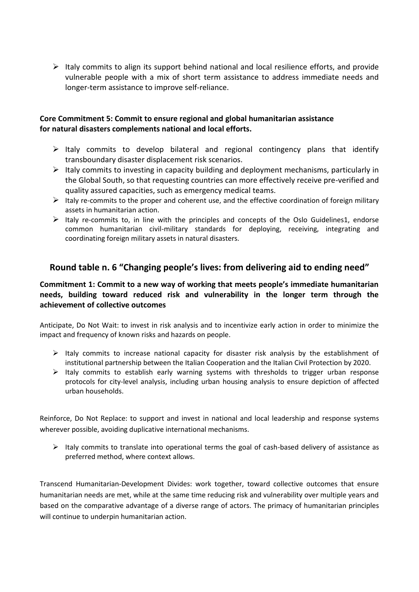$\triangleright$  Italy commits to align its support behind national and local resilience efforts, and provide vulnerable people with a mix of short term assistance to address immediate needs and longer-term assistance to improve self-reliance.

#### **Core Commitment 5: Commit to ensure regional and global humanitarian assistance for natural disasters complements national and local efforts.**

- $\triangleright$  Italy commits to develop bilateral and regional contingency plans that identify transboundary disaster displacement risk scenarios.
- $\triangleright$  Italy commits to investing in capacity building and deployment mechanisms, particularly in the Global South, so that requesting countries can more effectively receive pre-verified and quality assured capacities, such as emergency medical teams.
- $\triangleright$  Italy re-commits to the proper and coherent use, and the effective coordination of foreign military assets in humanitarian action.
- $\triangleright$  Italy re-commits to, in line with the principles and concepts of the Oslo Guidelines1, endorse common humanitarian civil-military standards for deploying, receiving, integrating and coordinating foreign military assets in natural disasters.

### **Round table n. 6 "Changing people's lives: from delivering aid to ending need"**

#### **Commitment 1: Commit to a new way of working that meets people's immediate humanitarian needs, building toward reduced risk and vulnerability in the longer term through the achievement of collective outcomes**

Anticipate, Do Not Wait: to invest in risk analysis and to incentivize early action in order to minimize the impact and frequency of known risks and hazards on people.

- $\triangleright$  Italy commits to increase national capacity for disaster risk analysis by the establishment of institutional partnership between the Italian Cooperation and the Italian Civil Protection by 2020.
- $\triangleright$  Italy commits to establish early warning systems with thresholds to trigger urban response protocols for city-level analysis, including urban housing analysis to ensure depiction of affected urban households.

Reinforce, Do Not Replace: to support and invest in national and local leadership and response systems wherever possible, avoiding duplicative international mechanisms.

 $\triangleright$  Italy commits to translate into operational terms the goal of cash-based delivery of assistance as preferred method, where context allows.

Transcend Humanitarian-Development Divides: work together, toward collective outcomes that ensure humanitarian needs are met, while at the same time reducing risk and vulnerability over multiple years and based on the comparative advantage of a diverse range of actors. The primacy of humanitarian principles will continue to underpin humanitarian action.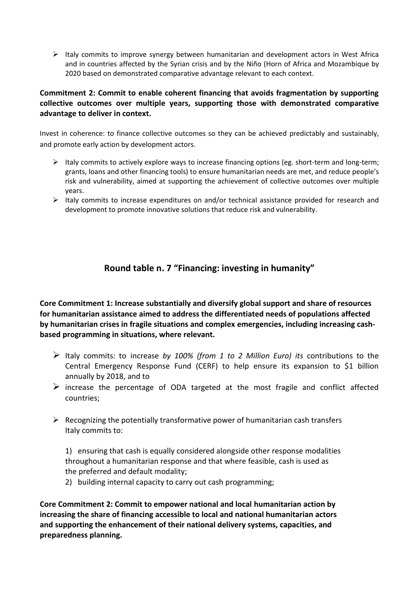$\triangleright$  Italy commits to improve synergy between humanitarian and development actors in West Africa and in countries affected by the Syrian crisis and by the Niño (Horn of Africa and Mozambique by 2020 based on demonstrated comparative advantage relevant to each context.

#### **Commitment 2: Commit to enable coherent financing that avoids fragmentation by supporting collective outcomes over multiple years, supporting those with demonstrated comparative advantage to deliver in context.**

Invest in coherence: to finance collective outcomes so they can be achieved predictably and sustainably, and promote early action by development actors.

- $\triangleright$  Italy commits to actively explore ways to increase financing options (eg. short-term and long-term; grants, loans and other financing tools) to ensure humanitarian needs are met, and reduce people's risk and vulnerability, aimed at supporting the achievement of collective outcomes over multiple years.
- $\triangleright$  Italy commits to increase expenditures on and/or technical assistance provided for research and development to promote innovative solutions that reduce risk and vulnerability.

## **Round table n. 7 "Financing: investing in humanity"**

**Core Commitment 1: Increase substantially and diversify global support and share of resources for humanitarian assistance aimed to address the differentiated needs of populations affected by humanitarian crises in fragile situations and complex emergencies, including increasing cashbased programming in situations, where relevant.**

- Italy commits: to increase *by 100% (from 1 to 2 Million Euro) its* contributions to the Central Emergency Response Fund (CERF) to help ensure its expansion to \$1 billion annually by 2018, and to
- $\triangleright$  increase the percentage of ODA targeted at the most fragile and conflict affected countries;
- $\triangleright$  Recognizing the potentially transformative power of humanitarian cash transfers Italy commits to:

1) ensuring that cash is equally considered alongside other response modalities throughout a humanitarian response and that where feasible, cash is used as the preferred and default modality;

2) building internal capacity to carry out cash programming;

**Core Commitment 2: Commit to empower national and local humanitarian action by increasing the share of financing accessible to local and national humanitarian actors and supporting the enhancement of their national delivery systems, capacities, and preparedness planning.**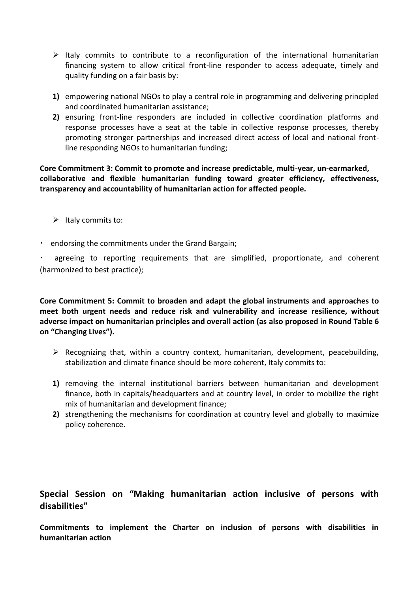- $\triangleright$  Italy commits to contribute to a reconfiguration of the international humanitarian financing system to allow critical front-line responder to access adequate, timely and quality funding on a fair basis by:
- **1)** empowering national NGOs to play a central role in programming and delivering principled and coordinated humanitarian assistance;
- **2)** ensuring front-line responders are included in collective coordination platforms and response processes have a seat at the table in collective response processes, thereby promoting stronger partnerships and increased direct access of local and national frontline responding NGOs to humanitarian funding;

**Core Commitment 3: Commit to promote and increase predictable, multi-year, un-earmarked, collaborative and flexible humanitarian funding toward greater efficiency, effectiveness, transparency and accountability of humanitarian action for affected people.**

- $\triangleright$  Italy commits to:
- endorsing the commitments under the Grand Bargain;

agreeing to reporting requirements that are simplified, proportionate, and coherent (harmonized to best practice);

**Core Commitment 5: Commit to broaden and adapt the global instruments and approaches to meet both urgent needs and reduce risk and vulnerability and increase resilience, without adverse impact on humanitarian principles and overall action (as also proposed in Round Table 6 on "Changing Lives").**

- $\triangleright$  Recognizing that, within a country context, humanitarian, development, peacebuilding, stabilization and climate finance should be more coherent, Italy commits to:
- **1)** removing the internal institutional barriers between humanitarian and development finance, both in capitals/headquarters and at country level, in order to mobilize the right mix of humanitarian and development finance;
- **2)** strengthening the mechanisms for coordination at country level and globally to maximize policy coherence.

## **Special Session on "Making humanitarian action inclusive of persons with disabilities"**

**Commitments to implement the Charter on inclusion of persons with disabilities in humanitarian action**